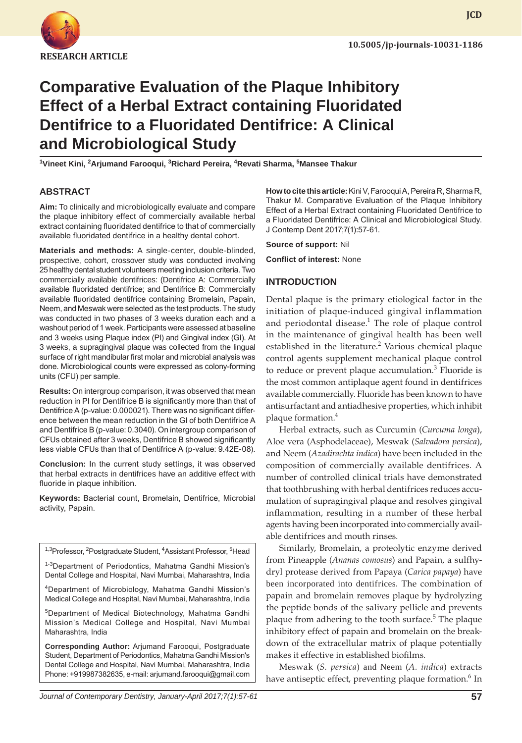

**JCD**

# **Comparative Evaluation of the Plaque Inhibitory Effect of a Herbal Extract containing Fluoridated Dentifrice to a Fluoridated Dentifrice: A Clinical and Microbiological Study**

**1 Vineet Kini, 2 Arjumand Farooqui, 3 Richard Pereira, <sup>4</sup> Revati Sharma, <sup>5</sup> Mansee Thakur**

## **ABSTRACT**

**Aim:** To clinically and microbiologically evaluate and compare the plaque inhibitory effect of commercially available herbal extract containing fluoridated dentifrice to that of commercially available fluoridated dentifrice in a healthy dental cohort.

**Materials and methods:** A single-center, double-blinded, prospective, cohort, crossover study was conducted involving 25 healthy dental student volunteers meeting inclusion criteria. Two commercially available dentifrices: (Dentifrice A: Commercially available fluoridated dentifrice; and Dentifrice B: Commercially available fluoridated dentifrice containing Bromelain, Papain, Neem, and Meswak were selected as the test products. The study was conducted in two phases of 3 weeks duration each and a washout period of 1 week. Participants were assessed at baseline and 3 weeks using Plaque index (PI) and Gingival index (GI). At 3 weeks, a supragingival plaque was collected from the lingual surface of right mandibular first molar and microbial analysis was done. Microbiological counts were expressed as colony-forming units (CFU) per sample.

**Results:** On intergroup comparison, it was observed that mean reduction in PI for Dentifrice B is significantly more than that of Dentifrice A (p-value: 0.000021). There was no significant difference between the mean reduction in the GI of both Dentifrice A and Dentifrice B (p-value: 0.3040). On intergroup comparison of CFUs obtained after 3 weeks, Dentifrice B showed significantly less viable CFUs than that of Dentifrice A (p-value: 9.42E-08).

**Conclusion:** In the current study settings, it was observed that herbal extracts in dentifrices have an additive effect with fluoride in plaque inhibition.

**Keywords:** Bacterial count, Bromelain, Dentifrice, Microbial activity, Papain.

<sup>1,3</sup>Professor, <sup>2</sup>Postgraduate Student, <sup>4</sup>Assistant Professor, <sup>5</sup>Head

1-3Department of Periodontics, Mahatma Gandhi Mission's Dental College and Hospital, Navi Mumbai, Maharashtra, India

4Department of Microbiology, Mahatma Gandhi Mission's Medical College and Hospital, Navi Mumbai, Maharashtra, India

<sup>5</sup>Department of Medical Biotechnology, Mahatma Gandhi Mission's Medical College and Hospital, Navi Mumbai Maharashtra, India

**Corresponding Author:** Arjumand Farooqui, Postgraduate Student, Department of Periodontics, Mahatma Gandhi Mission's Dental College and Hospital, Navi Mumbai, Maharashtra, India Phone: +919987382635, e-mail: arjumand.farooqui@gmail.com **How to cite this article:** Kini V, Farooqui A, Pereira R, Sharma R, Thakur M. Comparative Evaluation of the Plaque Inhibitory Effect of a Herbal Extract containing Fluoridated Dentifrice to a Fluoridated Dentifrice: A Clinical and Microbiological Study. J Contemp Dent 2017;7(1):57-61.

**Source of support:** Nil

**Conflict of interest:** None

#### **INTRODUCTION**

Dental plaque is the primary etiological factor in the initiation of plaque-induced gingival inflammation and periodontal disease.<sup>1</sup> The role of plaque control in the maintenance of gingival health has been well established in the literature.<sup>2</sup> Various chemical plaque control agents supplement mechanical plaque control to reduce or prevent plaque accumulation.<sup>3</sup> Fluoride is the most common antiplaque agent found in dentifrices available commercially. Fluoride has been known to have antisurfactant and antiadhesive properties, which inhibit plaque formation.<sup>4</sup>

Herbal extracts, such as Curcumin (*Curcuma longa*), Aloe vera (Asphodelaceae), Meswak (*Salvadora persica*), and Neem (*Azadirachta indica*) have been included in the composition of commercially available dentifrices. A number of controlled clinical trials have demonstrated that toothbrushing with herbal dentifrices reduces accumulation of supragingival plaque and resolves gingival inflammation, resulting in a number of these herbal agents having been incorporated into commercially available dentifrices and mouth rinses.

Similarly, Bromelain, a proteolytic enzyme derived from Pineapple (*Ananas comosus*) and Papain, a sulfhydryl protease derived from Papaya (*Carica papaya*) have been incorporated into dentifrices. The combination of papain and bromelain removes plaque by hydrolyzing the peptide bonds of the salivary pellicle and prevents plaque from adhering to the tooth surface.<sup>5</sup> The plaque inhibitory effect of papain and bromelain on the breakdown of the extracellular matrix of plaque potentially makes it effective in established biofilms.

Meswak (*S. persica*) and Neem (*A. indica*) extracts have antiseptic effect, preventing plaque formation.<sup>6</sup> In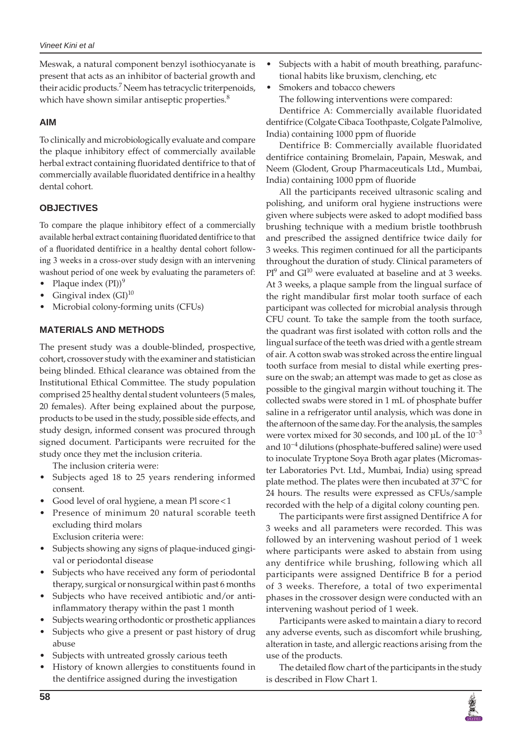Meswak, a natural component benzyl isothiocyanate is present that acts as an inhibitor of bacterial growth and their acidic products.<sup>7</sup> Neem has tetracyclic triterpenoids, which have shown similar antiseptic properties.<sup>8</sup>

## **AIM**

To clinically and microbiologically evaluate and compare the plaque inhibitory effect of commercially available herbal extract containing fluoridated dentifrice to that of commercially available fluoridated dentifrice in a healthy dental cohort.

# **OBJECTIVES**

To compare the plaque inhibitory effect of a commercially available herbal extract containing fluoridated dentifrice to that of a fluoridated dentifrice in a healthy dental cohort following 3 weeks in a cross-over study design with an intervening washout period of one week by evaluating the parameters of:

- Plaque index  $(PI))^9$
- Gingival index  $(GI)^{10}$
- Microbial colony-forming units (CFUs)

## **MATERIALS AND METHODS**

The present study was a double-blinded, prospective, cohort, crossover study with the examiner and statistician being blinded. Ethical clearance was obtained from the Institutional Ethical Committee. The study population comprised 25 healthy dental student volunteers (5 males, 20 females). After being explained about the purpose, products to be used in the study, possible side effects, and study design, informed consent was procured through signed document. Participants were recruited for the study once they met the inclusion criteria.

The inclusion criteria were:

- Subjects aged 18 to 25 years rendering informed consent.
- Good level of oral hygiene, a mean Pl score  $<$  1
- Presence of minimum 20 natural scorable teeth excluding third molars
	- Exclusion criteria were:
- Subjects showing any signs of plaque-induced gingival or periodontal disease
- Subjects who have received any form of periodontal therapy, surgical or nonsurgical within past 6 months
- Subjects who have received antibiotic and/or antiinflammatory therapy within the past 1 month
- Subjects wearing orthodontic or prosthetic appliances
- Subjects who give a present or past history of drug abuse
- Subjects with untreated grossly carious teeth
- History of known allergies to constituents found in the dentifrice assigned during the investigation
- Subjects with a habit of mouth breathing, parafunctional habits like bruxism, clenching, etc
- Smokers and tobacco chewers The following interventions were compared: Dentifrice A: Commercially available fluoridated

dentifrice (Colgate Cibaca Toothpaste, Colgate Palmolive, India) containing 1000 ppm of fluoride

Dentifrice B: Commercially available fluoridated dentifrice containing Bromelain, Papain, Meswak, and Neem (Glodent, Group Pharmaceuticals Ltd., Mumbai, India) containing 1000 ppm of fluoride

All the participants received ultrasonic scaling and polishing, and uniform oral hygiene instructions were given where subjects were asked to adopt modified bass brushing technique with a medium bristle toothbrush and prescribed the assigned dentifrice twice daily for 3 weeks. This regimen continued for all the participants throughout the duration of study. Clinical parameters of  $PI<sup>9</sup>$  and GI<sup>10</sup> were evaluated at baseline and at 3 weeks. At 3 weeks, a plaque sample from the lingual surface of the right mandibular first molar tooth surface of each participant was collected for microbial analysis through CFU count. To take the sample from the tooth surface, the quadrant was first isolated with cotton rolls and the lingual surface of the teeth was dried with a gentle stream of air. A cotton swab was stroked across the entire lingual tooth surface from mesial to distal while exerting pressure on the swab; an attempt was made to get as close as possible to the gingival margin without touching it. The collected swabs were stored in 1 mL of phosphate buffer saline in a refrigerator until analysis, which was done in the afternoon of the same day. For the analysis, the samples were vortex mixed for 30 seconds, and 100  $\mu$ L of the 10<sup>-3</sup> and 10−4 dilutions (phosphate-buffered saline) were used to inoculate Tryptone Soya Broth agar plates (Micromaster Laboratories Pvt. Ltd., Mumbai, India) using spread plate method. The plates were then incubated at 37°C for 24 hours. The results were expressed as CFUs/sample recorded with the help of a digital colony counting pen.

The participants were first assigned Dentifrice A for 3 weeks and all parameters were recorded. This was followed by an intervening washout period of 1 week where participants were asked to abstain from using any dentifrice while brushing, following which all participants were assigned Dentifrice B for a period of 3 weeks. Therefore, a total of two experimental phases in the crossover design were conducted with an intervening washout period of 1 week.

Participants were asked to maintain a diary to record any adverse events, such as discomfort while brushing, alteration in taste, and allergic reactions arising from the use of the products.

The detailed flow chart of the participants in the study is described in Flow Chart 1.

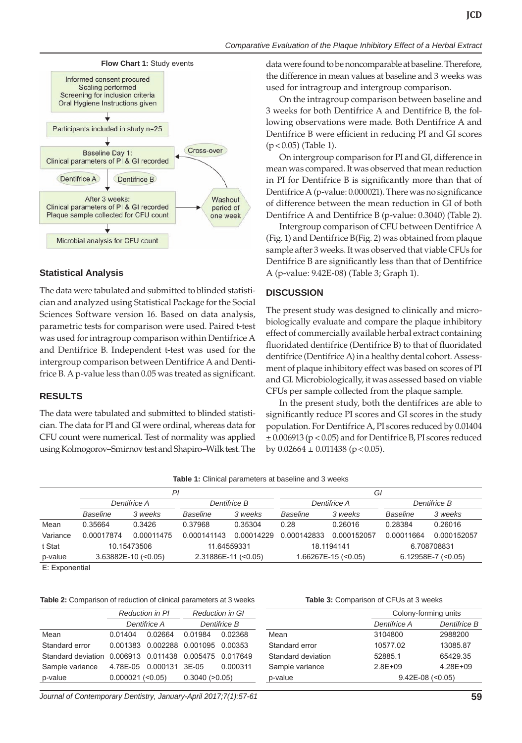



## **Statistical Analysis**

The data were tabulated and submitted to blinded statistician and analyzed using Statistical Package for the Social Sciences Software version 16. Based on data analysis, parametric tests for comparison were used. Paired t-test was used for intragroup comparison within Dentifrice A and Dentifrice B. Independent t-test was used for the intergroup comparison between Dentifrice A and Dentifrice B. A p-value less than 0.05 was treated as significant.

## **RESULTS**

The data were tabulated and submitted to blinded statistician. The data for PI and GI were ordinal, whereas data for CFU count were numerical. Test of normality was applied using Kolmogorov–Smirnov test and Shapiro–Wilk test. The data were found to be noncomparable at baseline. Therefore, the difference in mean values at baseline and 3 weeks was used for intragroup and intergroup comparison.

On the intragroup comparison between baseline and 3 weeks for both Dentifrice A and Dentifrice B, the following observations were made. Both Dentifrice A and Dentifrice B were efficient in reducing PI and GI scores  $(p < 0.05)$  (Table 1).

On intergroup comparison for PI and GI, difference in mean was compared. It was observed that mean reduction in PI for Dentifrice B is significantly more than that of Dentifrice A (p-value: 0.000021). There was no significance of difference between the mean reduction in GI of both Dentifrice A and Dentifrice B (p-value: 0.3040) (Table 2).

Intergroup comparison of CFU between Dentifrice A (Fig. 1) and Dentifrice B(Fig. 2) was obtained from plaque sample after 3 weeks. It was observed that viable CFUs for Dentifrice B are significantly less than that of Dentifrice A (p-value: 9.42E-08) (Table 3; Graph 1).

## **DISCUSSION**

The present study was designed to clinically and microbiologically evaluate and compare the plaque inhibitory effect of commercially available herbal extract containing fluoridated dentifrice (Dentifrice B) to that of fluoridated dentifrice (Dentifrice A) in a healthy dental cohort. Assessment of plaque inhibitory effect was based on scores of PI and GI. Microbiologically, it was assessed based on viable CFUs per sample collected from the plaque sample.

In the present study, both the dentifrices are able to significantly reduce PI scores and GI scores in the study population. For Dentifrice A, PI scores reduced by 0.01404 ± 0.006913 (p < 0.05) and for Dentifrice B, PI scores reduced by  $0.02664 \pm 0.011438$  (p < 0.05).

| Table 1: Clinical parameters at baseline and 3 weeks |  |
|------------------------------------------------------|--|
|------------------------------------------------------|--|

|          | ΡI                    |            |                       |            | Gl                    |             |                        |             |
|----------|-----------------------|------------|-----------------------|------------|-----------------------|-------------|------------------------|-------------|
|          | Dentifrice A          |            | Dentifrice B          |            | Dentifrice A          |             | Dentifrice B           |             |
|          | Baseline              | 3 weeks    | Baseline              | 3 weeks    | Baseline              | 3 weeks     | Baseline               | 3 weeks     |
| Mean     | 0.35664               | 0.3426     | 0.37968               | 0.35304    | 0.28                  | 0.26016     | 0.28384                | 0.26016     |
| Variance | 0.00017874            | 0.00011475 | 0.000141143           | 0.00014229 | 0.000142833           | 0.000152057 | 0.00011664             | 0.000152057 |
| t Stat   | 10.15473506           |            | 11.64559331           |            | 18.1194141            |             | 6.708708831            |             |
| p-value  | $3.63882E-10$ (<0.05) |            | $2.31886E-11$ (<0.05) |            | $1.66267E-15$ (<0.05) |             | $6.12958E - 7$ (<0.05) |             |

E: Exponential

**Table 2:** Comparison of reduction of clinical parameters at 3 weeks

|                                                        |                        | <b>Reduction in PI</b>    | <b>Reduction in GI</b>             |          |  |
|--------------------------------------------------------|------------------------|---------------------------|------------------------------------|----------|--|
|                                                        |                        | Dentifrice A              | Dentifrice B                       |          |  |
| Mean                                                   | 0.01404                | 0.02664 0.01984           |                                    | 0.02368  |  |
| Standard error                                         |                        |                           | 0.001383 0.002288 0.001095 0.00353 |          |  |
| Standard deviation 0.006913 0.011438 0.005475 0.017649 |                        |                           |                                    |          |  |
| Sample variance                                        |                        | 4.78E-05  0.000131  3E-05 |                                    | 0.000311 |  |
| p-value                                                | $0.000021$ (< $0.05$ ) |                           | 0.3040(>0.05)                      |          |  |

|  | Table 3: Comparison of CFUs at 3 weeks |  |  |  |
|--|----------------------------------------|--|--|--|
|  |                                        |  |  |  |

|                    |              | Colony-forming units |  |  |
|--------------------|--------------|----------------------|--|--|
|                    | Dentifrice A | Dentifrice B         |  |  |
| Mean               | 3104800      | 2988200              |  |  |
| Standard error     | 10577.02     | 13085.87             |  |  |
| Standard deviation | 52885.1      | 65429.35             |  |  |
| Sample variance    | $2.8E + 09$  | $4.28E + 09$         |  |  |
| p-value            |              | $9.42E-08$ (<0.05)   |  |  |
|                    |              |                      |  |  |

*Journal of Contemporary Dentistry, January-April 2017;7(1):57-61* **59**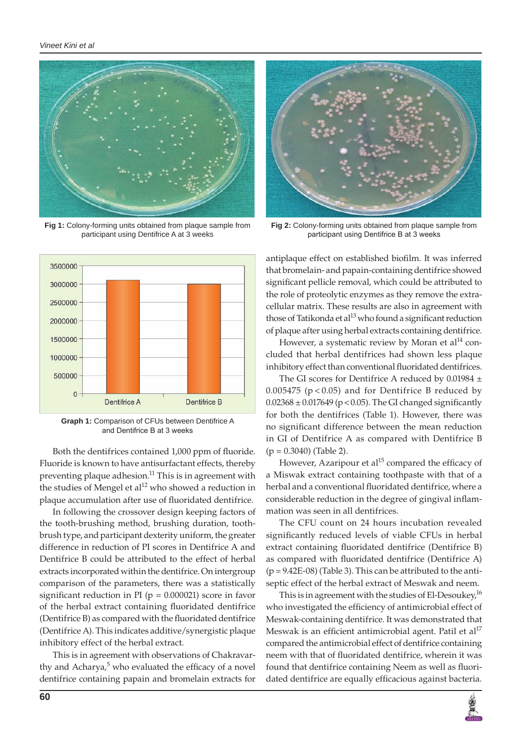

**Fig 1:** Colony-forming units obtained from plaque sample from participant using Dentifrice A at 3 weeks



**Graph 1:** Comparison of CFUs between Dentifrice A and Dentifrice B at 3 weeks

Both the dentifrices contained 1,000 ppm of fluoride. Fluoride is known to have antisurfactant effects, thereby preventing plaque adhesion.<sup>11</sup> This is in agreement with the studies of Mengel et  $al<sup>12</sup>$  who showed a reduction in plaque accumulation after use of fluoridated dentifrice.

In following the crossover design keeping factors of the tooth-brushing method, brushing duration, toothbrush type, and participant dexterity uniform, the greater difference in reduction of PI scores in Dentifrice A and Dentifrice B could be attributed to the effect of herbal extracts incorporated within the dentifrice. On intergroup comparison of the parameters, there was a statistically significant reduction in PI ( $p = 0.000021$ ) score in favor of the herbal extract containing fluoridated dentifrice (Dentifrice B) as compared with the fluoridated dentifrice (Dentifrice A). This indicates additive/synergistic plaque inhibitory effect of the herbal extract.

This is in agreement with observations of Chakravarthy and Acharya,<sup>5</sup> who evaluated the efficacy of a novel dentifrice containing papain and bromelain extracts for



**Fig 2:** Colony-forming units obtained from plaque sample from participant using Dentifrice B at 3 weeks

antiplaque effect on established biofilm. It was inferred that bromelain- and papain-containing dentifrice showed significant pellicle removal, which could be attributed to the role of proteolytic enzymes as they remove the extracellular matrix. These results are also in agreement with those of Tatikonda et al $^{13}$  who found a significant reduction of plaque after using herbal extracts containing dentifrice.

However, a systematic review by Moran et  $al<sup>14</sup>$  concluded that herbal dentifrices had shown less plaque inhibitory effect than conventional fluoridated dentifrices.

The GI scores for Dentifrice A reduced by  $0.01984 \pm$  $0.005475$  ( $p < 0.05$ ) and for Dentifrice B reduced by  $0.02368 \pm 0.017649$  (p < 0.05). The GI changed significantly for both the dentifrices (Table 1). However, there was no significant difference between the mean reduction in GI of Dentifrice A as compared with Dentifrice B  $(p = 0.3040)$  (Table 2).

However, Azaripour et  $al<sup>15</sup>$  compared the efficacy of a Miswak extract containing toothpaste with that of a herbal and a conventional fluoridated dentifrice, where a considerable reduction in the degree of gingival inflammation was seen in all dentifrices.

The CFU count on 24 hours incubation revealed significantly reduced levels of viable CFUs in herbal extract containing fluoridated dentifrice (Dentifrice B) as compared with fluoridated dentifrice (Dentifrice A)  $(p = 9.42E-08)$  (Table 3). This can be attributed to the antiseptic effect of the herbal extract of Meswak and neem.

This is in agreement with the studies of El-Desoukey,  $^{16}$ who investigated the efficiency of antimicrobial effect of Meswak-containing dentifrice. It was demonstrated that Meswak is an efficient antimicrobial agent. Patil et al<sup>17</sup> compared the antimicrobial effect of dentifrice containing neem with that of fluoridated dentifrice, wherein it was found that dentifrice containing Neem as well as fluoridated dentifrice are equally efficacious against bacteria.